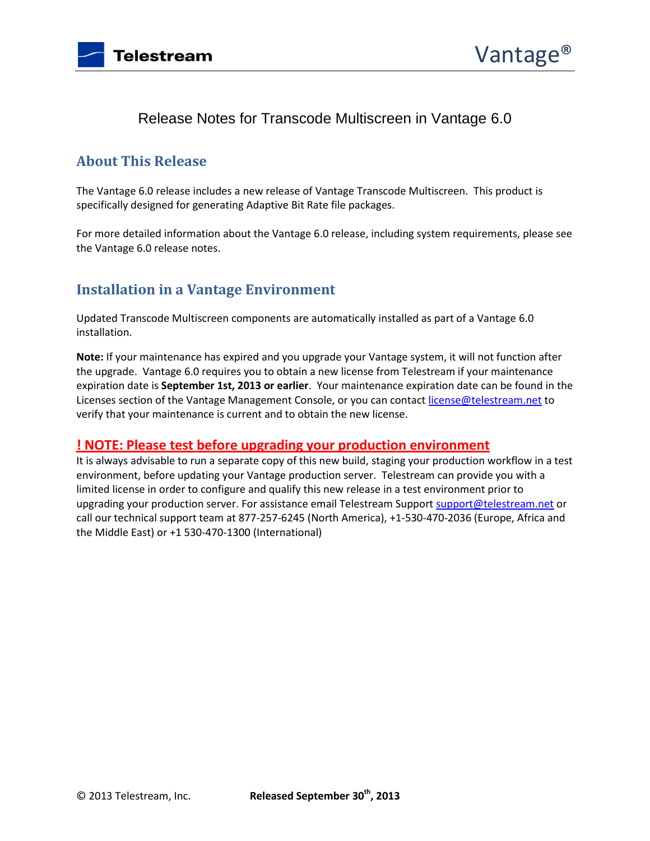

# Release Notes for Transcode Multiscreen in Vantage 6.0

### **About This Release**

The Vantage 6.0 release includes a new release of Vantage Transcode Multiscreen. This product is specifically designed for generating Adaptive Bit Rate file packages.

For more detailed information about the Vantage 6.0 release, including system requirements, please see the Vantage 6.0 release notes.

## **Installation in a Vantage Environment**

Updated Transcode Multiscreen components are automatically installed as part of a Vantage 6.0 installation.

**Note:** If your maintenance has expired and you upgrade your Vantage system, it will not function after the upgrade. Vantage 6.0 requires you to obtain a new license from Telestream if your maintenance expiration date is **September 1st, 2013 or earlier**. Your maintenance expiration date can be found in the Licenses section of the Vantage Management Console, or you can contac[t license@telestream.net](mailto:license@telestream.net) to verify that your maintenance is current and to obtain the new license.

#### **! NOTE: Please test before upgrading your production environment**

It is always advisable to run a separate copy of this new build, staging your production workflow in a test environment, before updating your Vantage production server. Telestream can provide you with a limited license in order to configure and qualify this new release in a test environment prior to upgrading your production server. For assistance email Telestream Suppor[t support@telestream.net](mailto:support@telestream.net) or call our technical support team at 877-257-6245 (North America), +1-530-470-2036 (Europe, Africa and the Middle East) or +1 530-470-1300 (International)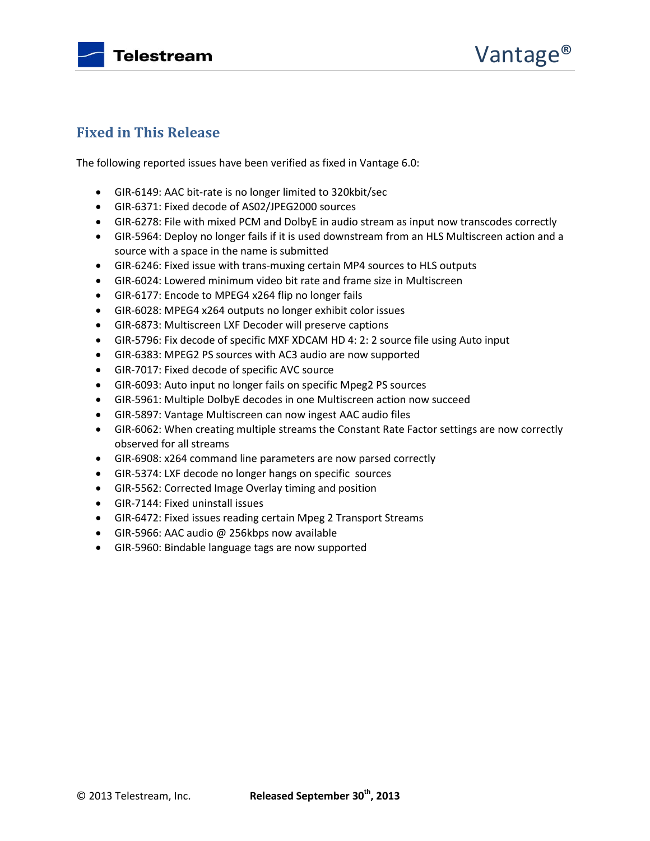

## **Fixed in This Release**

The following reported issues have been verified as fixed in Vantage 6.0:

- GIR-6149: AAC bit-rate is no longer limited to 320kbit/sec
- GIR-6371: Fixed decode of AS02/JPEG2000 sources
- GIR-6278: File with mixed PCM and DolbyE in audio stream as input now transcodes correctly
- GIR-5964: Deploy no longer fails if it is used downstream from an HLS Multiscreen action and a source with a space in the name is submitted
- GIR-6246: Fixed issue with trans-muxing certain MP4 sources to HLS outputs
- GIR-6024: Lowered minimum video bit rate and frame size in Multiscreen
- GIR-6177: Encode to MPEG4 x264 flip no longer fails
- GIR-6028: MPEG4 x264 outputs no longer exhibit color issues
- GIR-6873: Multiscreen LXF Decoder will preserve captions
- GIR-5796: Fix decode of specific MXF XDCAM HD 4: 2: 2 source file using Auto input
- GIR-6383: MPEG2 PS sources with AC3 audio are now supported
- GIR-7017: Fixed decode of specific AVC source
- GIR-6093: Auto input no longer fails on specific Mpeg2 PS sources
- GIR-5961: Multiple DolbyE decodes in one Multiscreen action now succeed
- GIR-5897: Vantage Multiscreen can now ingest AAC audio files
- GIR-6062: When creating multiple streams the Constant Rate Factor settings are now correctly observed for all streams
- GIR-6908: x264 command line parameters are now parsed correctly
- GIR-5374: LXF decode no longer hangs on specific sources
- GIR-5562: Corrected Image Overlay timing and position
- GIR-7144: Fixed uninstall issues
- GIR-6472: Fixed issues reading certain Mpeg 2 Transport Streams
- GIR-5966: AAC audio @ 256kbps now available
- GIR-5960: Bindable language tags are now supported